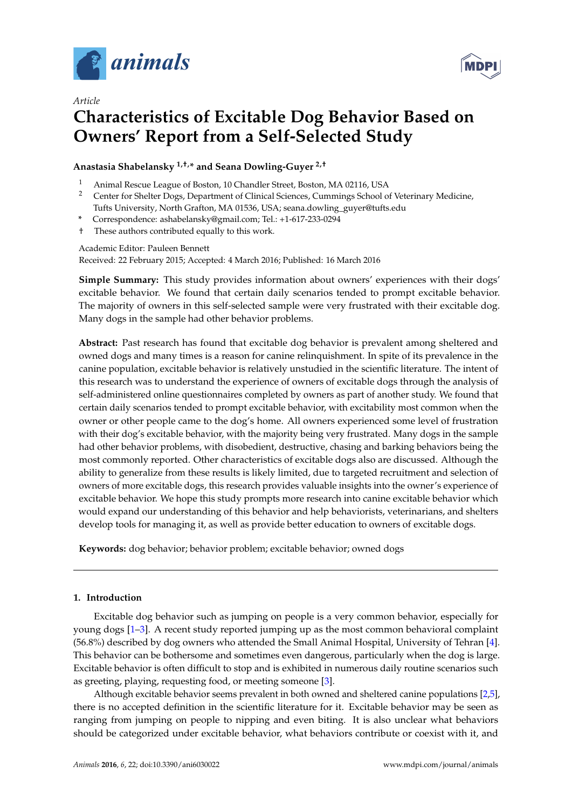

*Article*



# **Characteristics of Excitable Dog Behavior Based on Owners' Report from a Self-Selected Study**

# **Anastasia Shabelansky 1,†,\* and Seana Dowling-Guyer 2,†**

- <sup>1</sup> Animal Rescue League of Boston, 10 Chandler Street, Boston, MA 02116, USA<br><sup>2</sup> Center for Shelter Dogs, Department of Clinical Sciences, Cummings School of
- <sup>2</sup> Center for Shelter Dogs, Department of Clinical Sciences, Cummings School of Veterinary Medicine, Tufts University, North Grafton, MA 01536, USA; seana.dowling\_guyer@tufts.edu
- **\*** Correspondence: ashabelansky@gmail.com; Tel.: +1-617-233-0294
- † These authors contributed equally to this work.

## Academic Editor: Pauleen Bennett

Received: 22 February 2015; Accepted: 4 March 2016; Published: 16 March 2016

**Simple Summary:** This study provides information about owners' experiences with their dogs' excitable behavior. We found that certain daily scenarios tended to prompt excitable behavior. The majority of owners in this self-selected sample were very frustrated with their excitable dog. Many dogs in the sample had other behavior problems.

**Abstract:** Past research has found that excitable dog behavior is prevalent among sheltered and owned dogs and many times is a reason for canine relinquishment. In spite of its prevalence in the canine population, excitable behavior is relatively unstudied in the scientific literature. The intent of this research was to understand the experience of owners of excitable dogs through the analysis of self-administered online questionnaires completed by owners as part of another study. We found that certain daily scenarios tended to prompt excitable behavior, with excitability most common when the owner or other people came to the dog's home. All owners experienced some level of frustration with their dog's excitable behavior, with the majority being very frustrated. Many dogs in the sample had other behavior problems, with disobedient, destructive, chasing and barking behaviors being the most commonly reported. Other characteristics of excitable dogs also are discussed. Although the ability to generalize from these results is likely limited, due to targeted recruitment and selection of owners of more excitable dogs, this research provides valuable insights into the owner's experience of excitable behavior. We hope this study prompts more research into canine excitable behavior which would expand our understanding of this behavior and help behaviorists, veterinarians, and shelters develop tools for managing it, as well as provide better education to owners of excitable dogs.

**Keywords:** dog behavior; behavior problem; excitable behavior; owned dogs

## **1. Introduction**

Excitable dog behavior such as jumping on people is a very common behavior, especially for young dogs [\[1–](#page-10-0)[3\]](#page-10-1). A recent study reported jumping up as the most common behavioral complaint (56.8%) described by dog owners who attended the Small Animal Hospital, University of Tehran [\[4\]](#page-10-2). This behavior can be bothersome and sometimes even dangerous, particularly when the dog is large. Excitable behavior is often difficult to stop and is exhibited in numerous daily routine scenarios such as greeting, playing, requesting food, or meeting someone [\[3\]](#page-10-1).

Although excitable behavior seems prevalent in both owned and sheltered canine populations [\[2,](#page-10-3)[5\]](#page-10-4), there is no accepted definition in the scientific literature for it. Excitable behavior may be seen as ranging from jumping on people to nipping and even biting. It is also unclear what behaviors should be categorized under excitable behavior, what behaviors contribute or coexist with it, and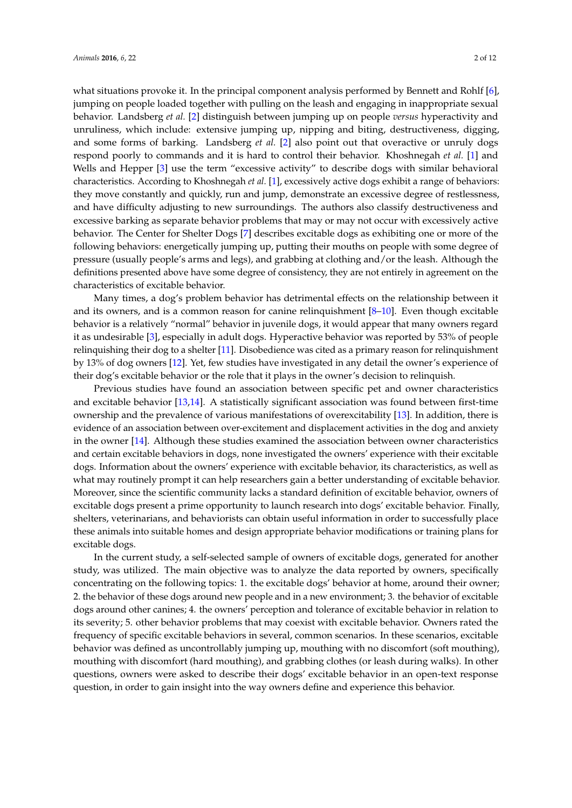what situations provoke it. In the principal component analysis performed by Bennett and Rohlf [\[6\]](#page-10-5), jumping on people loaded together with pulling on the leash and engaging in inappropriate sexual behavior. Landsberg *et al.* [\[2\]](#page-10-3) distinguish between jumping up on people *versus* hyperactivity and unruliness, which include: extensive jumping up, nipping and biting, destructiveness, digging, and some forms of barking. Landsberg *et al.* [\[2\]](#page-10-3) also point out that overactive or unruly dogs respond poorly to commands and it is hard to control their behavior. Khoshnegah *et al.* [\[1\]](#page-10-0) and Wells and Hepper [\[3\]](#page-10-1) use the term "excessive activity" to describe dogs with similar behavioral characteristics. According to Khoshnegah *et al.* [\[1\]](#page-10-0), excessively active dogs exhibit a range of behaviors: they move constantly and quickly, run and jump, demonstrate an excessive degree of restlessness, and have difficulty adjusting to new surroundings. The authors also classify destructiveness and excessive barking as separate behavior problems that may or may not occur with excessively active behavior. The Center for Shelter Dogs [\[7\]](#page-10-6) describes excitable dogs as exhibiting one or more of the following behaviors: energetically jumping up, putting their mouths on people with some degree of pressure (usually people's arms and legs), and grabbing at clothing and/or the leash. Although the definitions presented above have some degree of consistency, they are not entirely in agreement on the characteristics of excitable behavior.

Many times, a dog's problem behavior has detrimental effects on the relationship between it and its owners, and is a common reason for canine relinquishment  $[8-10]$  $[8-10]$ . Even though excitable behavior is a relatively "normal" behavior in juvenile dogs, it would appear that many owners regard it as undesirable [\[3\]](#page-10-1), especially in adult dogs. Hyperactive behavior was reported by 53% of people relinquishing their dog to a shelter [\[11\]](#page-11-0). Disobedience was cited as a primary reason for relinquishment by 13% of dog owners [\[12\]](#page-11-1). Yet, few studies have investigated in any detail the owner's experience of their dog's excitable behavior or the role that it plays in the owner's decision to relinquish.

Previous studies have found an association between specific pet and owner characteristics and excitable behavior [\[13](#page-11-2)[,14\]](#page-11-3). A statistically significant association was found between first-time ownership and the prevalence of various manifestations of overexcitability [\[13\]](#page-11-2). In addition, there is evidence of an association between over-excitement and displacement activities in the dog and anxiety in the owner [\[14\]](#page-11-3). Although these studies examined the association between owner characteristics and certain excitable behaviors in dogs, none investigated the owners' experience with their excitable dogs. Information about the owners' experience with excitable behavior, its characteristics, as well as what may routinely prompt it can help researchers gain a better understanding of excitable behavior. Moreover, since the scientific community lacks a standard definition of excitable behavior, owners of excitable dogs present a prime opportunity to launch research into dogs' excitable behavior. Finally, shelters, veterinarians, and behaviorists can obtain useful information in order to successfully place these animals into suitable homes and design appropriate behavior modifications or training plans for excitable dogs.

In the current study, a self-selected sample of owners of excitable dogs, generated for another study, was utilized. The main objective was to analyze the data reported by owners, specifically concentrating on the following topics: 1. the excitable dogs' behavior at home, around their owner; 2. the behavior of these dogs around new people and in a new environment; 3. the behavior of excitable dogs around other canines; 4. the owners' perception and tolerance of excitable behavior in relation to its severity; 5. other behavior problems that may coexist with excitable behavior. Owners rated the frequency of specific excitable behaviors in several, common scenarios. In these scenarios, excitable behavior was defined as uncontrollably jumping up, mouthing with no discomfort (soft mouthing), mouthing with discomfort (hard mouthing), and grabbing clothes (or leash during walks). In other questions, owners were asked to describe their dogs' excitable behavior in an open-text response question, in order to gain insight into the way owners define and experience this behavior.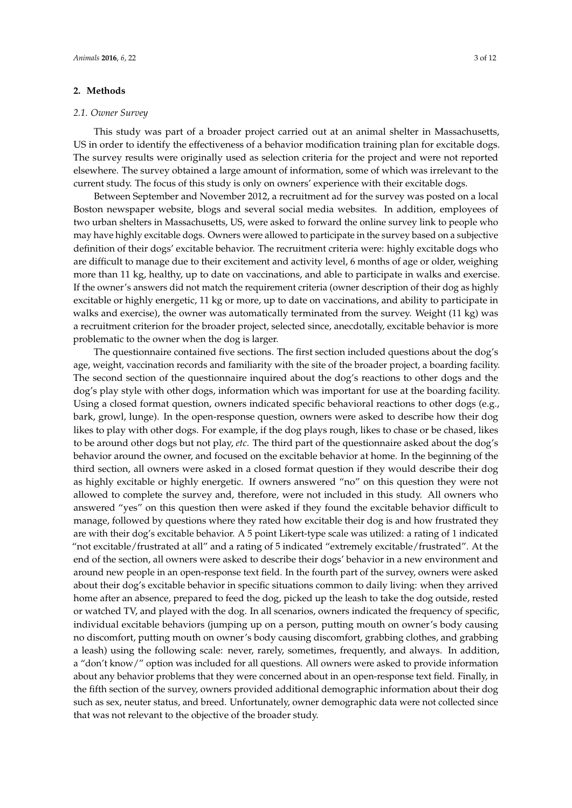## **2. Methods**

#### *2.1. Owner Survey*

This study was part of a broader project carried out at an animal shelter in Massachusetts, US in order to identify the effectiveness of a behavior modification training plan for excitable dogs. The survey results were originally used as selection criteria for the project and were not reported elsewhere. The survey obtained a large amount of information, some of which was irrelevant to the current study. The focus of this study is only on owners' experience with their excitable dogs.

Between September and November 2012, a recruitment ad for the survey was posted on a local Boston newspaper website, blogs and several social media websites. In addition, employees of two urban shelters in Massachusetts, US, were asked to forward the online survey link to people who may have highly excitable dogs. Owners were allowed to participate in the survey based on a subjective definition of their dogs' excitable behavior. The recruitment criteria were: highly excitable dogs who are difficult to manage due to their excitement and activity level, 6 months of age or older, weighing more than 11 kg, healthy, up to date on vaccinations, and able to participate in walks and exercise. If the owner's answers did not match the requirement criteria (owner description of their dog as highly excitable or highly energetic, 11 kg or more, up to date on vaccinations, and ability to participate in walks and exercise), the owner was automatically terminated from the survey. Weight (11 kg) was a recruitment criterion for the broader project, selected since, anecdotally, excitable behavior is more problematic to the owner when the dog is larger.

The questionnaire contained five sections. The first section included questions about the dog's age, weight, vaccination records and familiarity with the site of the broader project, a boarding facility. The second section of the questionnaire inquired about the dog's reactions to other dogs and the dog's play style with other dogs, information which was important for use at the boarding facility. Using a closed format question, owners indicated specific behavioral reactions to other dogs (e.g., bark, growl, lunge). In the open-response question, owners were asked to describe how their dog likes to play with other dogs. For example, if the dog plays rough, likes to chase or be chased, likes to be around other dogs but not play, *etc.* The third part of the questionnaire asked about the dog's behavior around the owner, and focused on the excitable behavior at home. In the beginning of the third section, all owners were asked in a closed format question if they would describe their dog as highly excitable or highly energetic. If owners answered "no" on this question they were not allowed to complete the survey and, therefore, were not included in this study. All owners who answered "yes" on this question then were asked if they found the excitable behavior difficult to manage, followed by questions where they rated how excitable their dog is and how frustrated they are with their dog's excitable behavior. A 5 point Likert-type scale was utilized: a rating of 1 indicated "not excitable/frustrated at all" and a rating of 5 indicated "extremely excitable/frustrated". At the end of the section, all owners were asked to describe their dogs' behavior in a new environment and around new people in an open-response text field. In the fourth part of the survey, owners were asked about their dog's excitable behavior in specific situations common to daily living: when they arrived home after an absence, prepared to feed the dog, picked up the leash to take the dog outside, rested or watched TV, and played with the dog. In all scenarios, owners indicated the frequency of specific, individual excitable behaviors (jumping up on a person, putting mouth on owner's body causing no discomfort, putting mouth on owner's body causing discomfort, grabbing clothes, and grabbing a leash) using the following scale: never, rarely, sometimes, frequently, and always. In addition, a "don't know/" option was included for all questions. All owners were asked to provide information about any behavior problems that they were concerned about in an open-response text field. Finally, in the fifth section of the survey, owners provided additional demographic information about their dog such as sex, neuter status, and breed. Unfortunately, owner demographic data were not collected since that was not relevant to the objective of the broader study.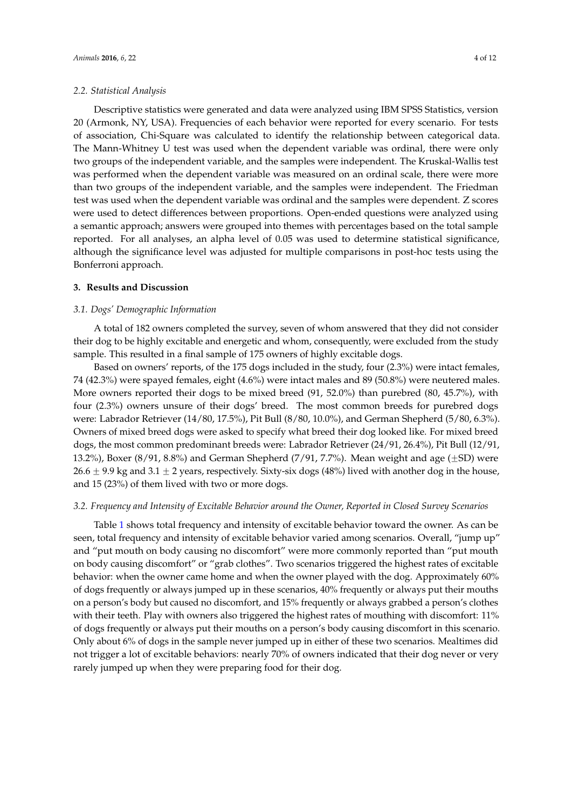#### *2.2. Statistical Analysis*

Descriptive statistics were generated and data were analyzed using IBM SPSS Statistics, version 20 (Armonk, NY, USA). Frequencies of each behavior were reported for every scenario. For tests of association, Chi-Square was calculated to identify the relationship between categorical data. The Mann-Whitney U test was used when the dependent variable was ordinal, there were only two groups of the independent variable, and the samples were independent. The Kruskal-Wallis test was performed when the dependent variable was measured on an ordinal scale, there were more than two groups of the independent variable, and the samples were independent. The Friedman test was used when the dependent variable was ordinal and the samples were dependent. Z scores were used to detect differences between proportions. Open-ended questions were analyzed using a semantic approach; answers were grouped into themes with percentages based on the total sample reported. For all analyses, an alpha level of 0.05 was used to determine statistical significance, although the significance level was adjusted for multiple comparisons in post-hoc tests using the Bonferroni approach.

## **3. Results and Discussion**

# *3.1. Dogs' Demographic Information*

A total of 182 owners completed the survey, seven of whom answered that they did not consider their dog to be highly excitable and energetic and whom, consequently, were excluded from the study sample. This resulted in a final sample of 175 owners of highly excitable dogs.

Based on owners' reports, of the 175 dogs included in the study, four (2.3%) were intact females, 74 (42.3%) were spayed females, eight (4.6%) were intact males and 89 (50.8%) were neutered males. More owners reported their dogs to be mixed breed (91, 52.0%) than purebred (80, 45.7%), with four (2.3%) owners unsure of their dogs' breed. The most common breeds for purebred dogs were: Labrador Retriever (14/80, 17.5%), Pit Bull (8/80, 10.0%), and German Shepherd (5/80, 6.3%). Owners of mixed breed dogs were asked to specify what breed their dog looked like. For mixed breed dogs, the most common predominant breeds were: Labrador Retriever (24/91, 26.4%), Pit Bull (12/91, 13.2%), Boxer (8/91, 8.8%) and German Shepherd (7/91, 7.7%). Mean weight and age ( $\pm$ SD) were  $26.6 \pm 9.9$  kg and  $3.1 \pm 2$  years, respectively. Sixty-six dogs (48%) lived with another dog in the house, and 15 (23%) of them lived with two or more dogs.

## *3.2. Frequency and Intensity of Excitable Behavior around the Owner, Reported in Closed Survey Scenarios*

Table [1](#page-4-0) shows total frequency and intensity of excitable behavior toward the owner. As can be seen, total frequency and intensity of excitable behavior varied among scenarios. Overall, "jump up" and "put mouth on body causing no discomfort" were more commonly reported than "put mouth on body causing discomfort" or "grab clothes". Two scenarios triggered the highest rates of excitable behavior: when the owner came home and when the owner played with the dog. Approximately 60% of dogs frequently or always jumped up in these scenarios, 40% frequently or always put their mouths on a person's body but caused no discomfort, and 15% frequently or always grabbed a person's clothes with their teeth. Play with owners also triggered the highest rates of mouthing with discomfort: 11% of dogs frequently or always put their mouths on a person's body causing discomfort in this scenario. Only about 6% of dogs in the sample never jumped up in either of these two scenarios. Mealtimes did not trigger a lot of excitable behaviors: nearly 70% of owners indicated that their dog never or very rarely jumped up when they were preparing food for their dog.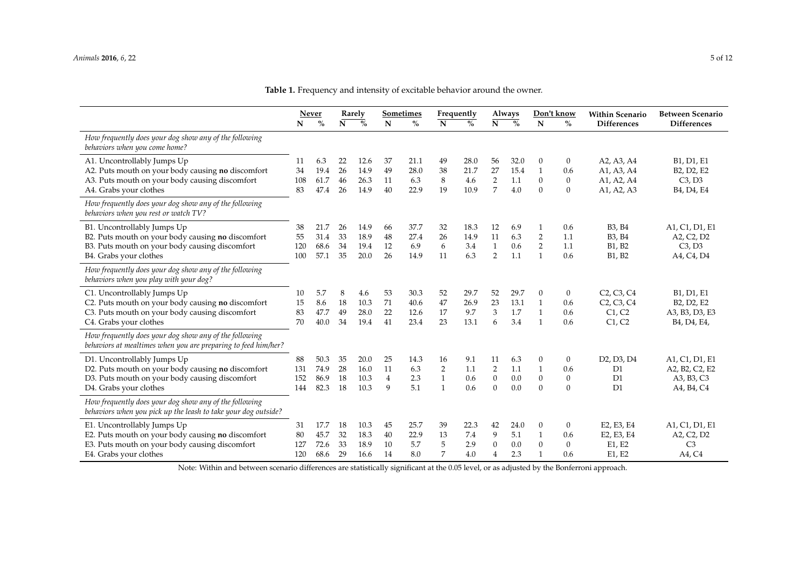|                                                                                                                                                              | Never                   |                              | Rarely               |                              | Sometimes                       |                              | Frequently                                           |                             |                                            | Always                     |                                                       | Don't know                                              | <b>Within Scenario</b>                                                                                                   | <b>Between Scenario</b>                                                                                                                                                      |
|--------------------------------------------------------------------------------------------------------------------------------------------------------------|-------------------------|------------------------------|----------------------|------------------------------|---------------------------------|------------------------------|------------------------------------------------------|-----------------------------|--------------------------------------------|----------------------------|-------------------------------------------------------|---------------------------------------------------------|--------------------------------------------------------------------------------------------------------------------------|------------------------------------------------------------------------------------------------------------------------------------------------------------------------------|
|                                                                                                                                                              | N                       | $\frac{0}{0}$                | $\mathbf N$          | $\frac{0}{0}$                | N                               | $\%$                         | N                                                    | $\frac{0}{0}$               | $\mathbf N$                                | $\frac{0}{0}$              | N                                                     | $\%$                                                    | <b>Differences</b>                                                                                                       | <b>Differences</b>                                                                                                                                                           |
| How frequently does your dog show any of the following<br>behaviors when you come home?                                                                      |                         |                              |                      |                              |                                 |                              |                                                      |                             |                                            |                            |                                                       |                                                         |                                                                                                                          |                                                                                                                                                                              |
| A1. Uncontrollably Jumps Up<br>A2. Puts mouth on your body causing no discomfort<br>A3. Puts mouth on your body causing discomfort<br>A4. Grabs your clothes | 11<br>34<br>108<br>83   | 6.3<br>19.4<br>61.7<br>47.4  | 22<br>26<br>46<br>26 | 12.6<br>14.9<br>26.3<br>14.9 | 37<br>49<br>11<br>40            | 21.1<br>28.0<br>6.3<br>22.9  | 49<br>38<br>8<br>19                                  | 28.0<br>21.7<br>4.6<br>10.9 | 56<br>27<br>$\sqrt{2}$<br>7                | 32.0<br>15.4<br>1.1<br>4.0 | 0<br>$\mathbf{1}$<br>$\boldsymbol{0}$<br>$\Omega$     | $\mathbf{0}$<br>0.6<br>$\boldsymbol{0}$<br>$\mathbf{0}$ | A2, A3, A4<br>A1, A3, A4<br>A1, A2, A4<br>A1, A2, A3                                                                     | B <sub>1</sub> , D <sub>1</sub> , E <sub>1</sub><br>B <sub>2</sub> , D <sub>2</sub> , E <sub>2</sub><br>C3, D3<br>B <sub>4</sub> , D <sub>4</sub> , E <sub>4</sub>           |
| How frequently does your dog show any of the following<br>behaviors when you rest or watch TV?                                                               |                         |                              |                      |                              |                                 |                              |                                                      |                             |                                            |                            |                                                       |                                                         |                                                                                                                          |                                                                                                                                                                              |
| B1. Uncontrollably Jumps Up<br>B2. Puts mouth on your body causing no discomfort<br>B3. Puts mouth on your body causing discomfort<br>B4. Grabs your clothes | 38<br>55<br>120<br>100  | 21.7<br>31.4<br>68.6<br>57.1 | 26<br>33<br>34<br>35 | 14.9<br>18.9<br>19.4<br>20.0 | 66<br>48<br>12<br>26            | 37.7<br>27.4<br>6.9<br>14.9  | 32<br>26<br>6<br>11                                  | 18.3<br>14.9<br>3.4<br>6.3  | 12<br>11<br>$\mathbf{1}$<br>$\overline{2}$ | 6.9<br>6.3<br>0.6<br>1.1   | 1<br>$\overline{2}$<br>$\overline{2}$<br>$\mathbf{1}$ | 0.6<br>1.1<br>1.1<br>0.6                                | B <sub>3</sub> , B <sub>4</sub><br>B <sub>3</sub> , B <sub>4</sub><br>B1, B2<br>B1, B2                                   | A1, C1, D1, E1<br>A2, C2, D2<br>C3, D3<br>A4, C4, D4                                                                                                                         |
| How frequently does your dog show any of the following<br>behaviors when you play with your dog?                                                             |                         |                              |                      |                              |                                 |                              |                                                      |                             |                                            |                            |                                                       |                                                         |                                                                                                                          |                                                                                                                                                                              |
| C1. Uncontrollably Jumps Up<br>C2. Puts mouth on your body causing no discomfort<br>C3. Puts mouth on your body causing discomfort<br>C4. Grabs your clothes | 10<br>15<br>83<br>70    | 5.7<br>8.6<br>47.7<br>40.0   | 8<br>18<br>49<br>34  | 4.6<br>10.3<br>28.0<br>19.4  | 53<br>71<br>22<br>41            | 30.3<br>40.6<br>12.6<br>23.4 | 52<br>47<br>17<br>23                                 | 29.7<br>26.9<br>9.7<br>13.1 | 52<br>23<br>$\mathfrak{B}$<br>6            | 29.7<br>13.1<br>1.7<br>3.4 | 0<br>$\mathbf{1}$<br>$\mathbf{1}$<br>$\overline{1}$   | $\boldsymbol{0}$<br>0.6<br>0.6<br>0.6                   | C <sub>2</sub> , C <sub>3</sub> , C <sub>4</sub><br>C <sub>2</sub> , C <sub>3</sub> , C <sub>4</sub><br>C1, C2<br>C1, C2 | B <sub>1</sub> , D <sub>1</sub> , E <sub>1</sub><br>B <sub>2</sub> , D <sub>2</sub> , E <sub>2</sub><br>A3, B3, D3, E3<br>B <sub>4</sub> , D <sub>4</sub> , E <sub>4</sub> , |
| How frequently does your dog show any of the following<br>behaviors at mealtimes when you are preparing to feed him/her?                                     |                         |                              |                      |                              |                                 |                              |                                                      |                             |                                            |                            |                                                       |                                                         |                                                                                                                          |                                                                                                                                                                              |
| D1. Uncontrollably Jumps Up<br>D2. Puts mouth on your body causing no discomfort<br>D3. Puts mouth on your body causing discomfort<br>D4. Grabs your clothes | 88<br>131<br>152<br>144 | 50.3<br>74.9<br>86.9<br>82.3 | 35<br>28<br>18<br>18 | 20.0<br>16.0<br>10.3<br>10.3 | 25<br>11<br>$\overline{4}$<br>9 | 14.3<br>6.3<br>2.3<br>5.1    | 16<br>$\overline{2}$<br>$\mathbf{1}$<br>$\mathbf{1}$ | 9.1<br>1.1<br>0.6<br>0.6    | 11<br>2<br>$\mathbf{0}$<br>$\mathbf{0}$    | 6.3<br>1.1<br>0.0<br>0.0   | 0<br>$\mathbf{1}$<br>$\mathbf{0}$<br>$\overline{0}$   | $\mathbf{0}$<br>0.6<br>$\mathbf{0}$<br>$\mathbf{0}$     | D <sub>2</sub> , D <sub>3</sub> , D <sub>4</sub><br>D <sub>1</sub><br>D1<br>D1                                           | A1, C1, D1, E1<br>A2, B2, C2, E2<br>A3, B3, C3<br>A4, B4, C4                                                                                                                 |
| How frequently does your dog show any of the following<br>behaviors when you pick up the leash to take your dog outside?                                     |                         |                              |                      |                              |                                 |                              |                                                      |                             |                                            |                            |                                                       |                                                         |                                                                                                                          |                                                                                                                                                                              |
| E1. Uncontrollably Jumps Up<br>E2. Puts mouth on your body causing no discomfort<br>E3. Puts mouth on your body causing discomfort<br>E4. Grabs your clothes | 31<br>80<br>127<br>120  | 17.7<br>45.7<br>72.6<br>68.6 | 18<br>32<br>33<br>29 | 10.3<br>18.3<br>18.9<br>16.6 | 45<br>40<br>10<br>14            | 25.7<br>22.9<br>5.7<br>8.0   | 39<br>13<br>5<br>7                                   | 22.3<br>7.4<br>2.9<br>4.0   | 42<br>9<br>$\mathbf{0}$<br>4               | 24.0<br>5.1<br>0.0<br>2.3  | 0<br>$\mathbf{1}$<br>$\overline{0}$<br>$\mathbf{1}$   | $\mathbf{0}$<br>0.6<br>$\mathbf{0}$<br>0.6              | E2, E3, E4<br>E2, E3, E4<br>E1, E2<br>E1, E2                                                                             | A1, C1, D1, E1<br>A2, C2, D2<br>C <sub>3</sub><br>A4, C4                                                                                                                     |

<span id="page-4-0"></span>Note: Within and between scenario differences are statistically significant at the 0.05 level, or as adjusted by the Bonferroni approach.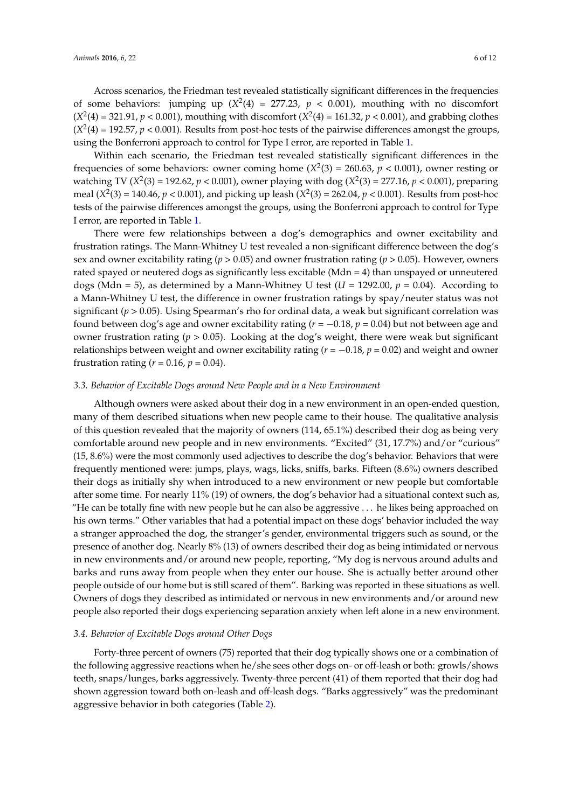Across scenarios, the Friedman test revealed statistically significant differences in the frequencies of some behaviors: jumping up  $(X^2(4) = 277.23, p < 0.001)$ , mouthing with no discomfort  $(X^2(4) = 321.91, p < 0.001)$ , mouthing with discomfort  $(X^2(4) = 161.32, p < 0.001)$ , and grabbing clothes  $(X^2(4) = 192.57, p < 0.001)$ . Results from post-hoc tests of the pairwise differences amongst the groups, using the Bonferroni approach to control for Type I error, are reported in Table [1.](#page-4-0)

Within each scenario, the Friedman test revealed statistically significant differences in the frequencies of some behaviors: owner coming home  $(X^2(3) = 260.63, p < 0.001)$ , owner resting or watching TV ( $X^2(3) = 192.62$ ,  $p < 0.001$ ), owner playing with dog ( $X^2(3) = 277.16$ ,  $p < 0.001$ ), preparing meal  $(X^2(3) = 140.46, p < 0.001)$ , and picking up leash  $(X^2(3) = 262.04, p < 0.001)$ . Results from post-hoc tests of the pairwise differences amongst the groups, using the Bonferroni approach to control for Type I error, are reported in Table [1.](#page-4-0)

There were few relationships between a dog's demographics and owner excitability and frustration ratings. The Mann-Whitney U test revealed a non-significant difference between the dog's sex and owner excitability rating (*p* > 0.05) and owner frustration rating (*p* > 0.05). However, owners rated spayed or neutered dogs as significantly less excitable (Mdn = 4) than unspayed or unneutered dogs (Mdn = 5), as determined by a Mann-Whitney U test ( $U = 1292.00$ ,  $p = 0.04$ ). According to a Mann-Whitney U test, the difference in owner frustration ratings by spay/neuter status was not significant ( $p > 0.05$ ). Using Spearman's rho for ordinal data, a weak but significant correlation was found between dog's age and owner excitability rating  $(r = -0.18, p = 0.04)$  but not between age and owner frustration rating (*p* > 0.05). Looking at the dog's weight, there were weak but significant relationships between weight and owner excitability rating ( $r = -0.18$ ,  $p = 0.02$ ) and weight and owner frustration rating  $(r = 0.16, p = 0.04)$ .

#### *3.3. Behavior of Excitable Dogs around New People and in a New Environment*

Although owners were asked about their dog in a new environment in an open-ended question, many of them described situations when new people came to their house. The qualitative analysis of this question revealed that the majority of owners (114, 65.1%) described their dog as being very comfortable around new people and in new environments. "Excited" (31, 17.7%) and/or "curious" (15, 8.6%) were the most commonly used adjectives to describe the dog's behavior. Behaviors that were frequently mentioned were: jumps, plays, wags, licks, sniffs, barks. Fifteen (8.6%) owners described their dogs as initially shy when introduced to a new environment or new people but comfortable after some time. For nearly 11% (19) of owners, the dog's behavior had a situational context such as, "He can be totally fine with new people but he can also be aggressive . . . he likes being approached on his own terms." Other variables that had a potential impact on these dogs' behavior included the way a stranger approached the dog, the stranger's gender, environmental triggers such as sound, or the presence of another dog. Nearly 8% (13) of owners described their dog as being intimidated or nervous in new environments and/or around new people, reporting, "My dog is nervous around adults and barks and runs away from people when they enter our house. She is actually better around other people outside of our home but is still scared of them". Barking was reported in these situations as well. Owners of dogs they described as intimidated or nervous in new environments and/or around new people also reported their dogs experiencing separation anxiety when left alone in a new environment.

## *3.4. Behavior of Excitable Dogs around Other Dogs*

Forty-three percent of owners (75) reported that their dog typically shows one or a combination of the following aggressive reactions when he/she sees other dogs on- or off-leash or both: growls/shows teeth, snaps/lunges, barks aggressively. Twenty-three percent (41) of them reported that their dog had shown aggression toward both on-leash and off-leash dogs. "Barks aggressively" was the predominant aggressive behavior in both categories (Table [2\)](#page-6-0).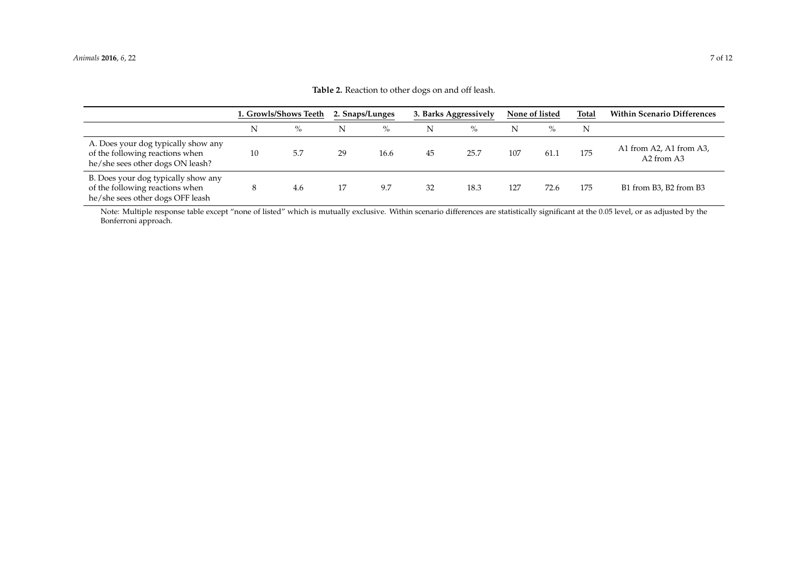|                                                                                                            | 1. Growls/Shows Teeth |      | 2. Snaps/Lunges |      |    | 3. Barks Aggressively | None of listed |      | Total | <b>Within Scenario Differences</b>                            |
|------------------------------------------------------------------------------------------------------------|-----------------------|------|-----------------|------|----|-----------------------|----------------|------|-------|---------------------------------------------------------------|
|                                                                                                            | N                     | $\%$ | N               | $\%$ | N  | $\%$                  | N              | $\%$ | N     |                                                               |
| A. Does your dog typically show any<br>of the following reactions when<br>he/she sees other dogs ON leash? | 10                    | 5.7  | 29              | 16.6 | 45 | 25.7                  | 107            | 61.1 | 175   | A1 from A2, A1 from A3,<br>A <sub>2</sub> from A <sub>3</sub> |
| B. Does your dog typically show any<br>of the following reactions when<br>he/she sees other dogs OFF leash |                       | 4.6  | 17              | 9.7  | 32 | 18.3                  | 127            | 72.6 | 175   | B1 from B3, B2 from B3                                        |

**Table 2.** Reaction to other dogs on and off leash.

<span id="page-6-0"></span>Note: Multiple response table except "none of listed" which is mutually exclusive. Within scenario differences are statistically significant at the 0.05 level, or as adjusted by the Bonferroni approach.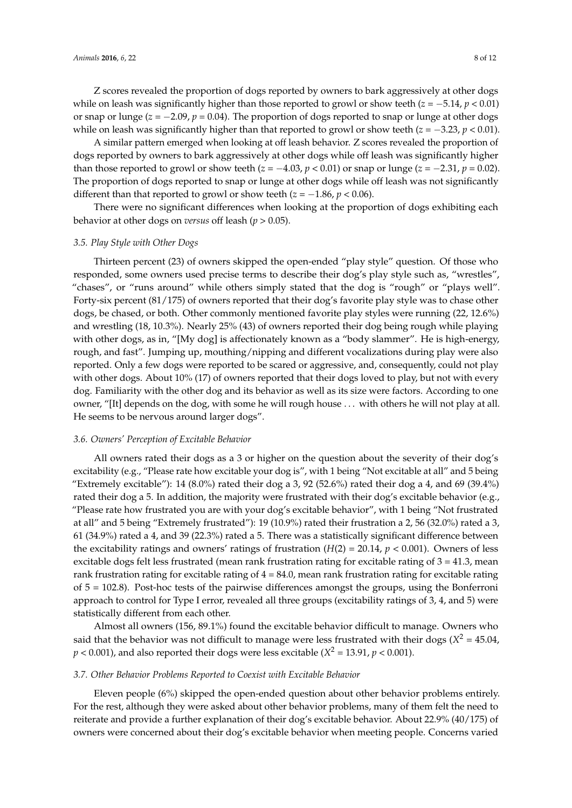Z scores revealed the proportion of dogs reported by owners to bark aggressively at other dogs while on leash was significantly higher than those reported to growl or show teeth  $(z = -5.14, p < 0.01)$ or snap or lunge  $(z = -2.09, p = 0.04)$ . The proportion of dogs reported to snap or lunge at other dogs while on leash was significantly higher than that reported to growl or show teeth  $(z = -3.23, p < 0.01)$ .

A similar pattern emerged when looking at off leash behavior. Z scores revealed the proportion of dogs reported by owners to bark aggressively at other dogs while off leash was significantly higher than those reported to growl or show teeth  $(z = -4.03, p < 0.01)$  or snap or lunge  $(z = -2.31, p = 0.02)$ . The proportion of dogs reported to snap or lunge at other dogs while off leash was not significantly different than that reported to growl or show teeth  $(z = -1.86, p < 0.06)$ .

There were no significant differences when looking at the proportion of dogs exhibiting each behavior at other dogs on *versus* off leash (*p* > 0.05).

#### *3.5. Play Style with Other Dogs*

Thirteen percent (23) of owners skipped the open-ended "play style" question. Of those who responded, some owners used precise terms to describe their dog's play style such as, "wrestles", "chases", or "runs around" while others simply stated that the dog is "rough" or "plays well". Forty-six percent (81/175) of owners reported that their dog's favorite play style was to chase other dogs, be chased, or both. Other commonly mentioned favorite play styles were running (22, 12.6%) and wrestling (18, 10.3%). Nearly 25% (43) of owners reported their dog being rough while playing with other dogs, as in, "[My dog] is affectionately known as a "body slammer". He is high-energy, rough, and fast". Jumping up, mouthing/nipping and different vocalizations during play were also reported. Only a few dogs were reported to be scared or aggressive, and, consequently, could not play with other dogs. About 10% (17) of owners reported that their dogs loved to play, but not with every dog. Familiarity with the other dog and its behavior as well as its size were factors. According to one owner, "[It] depends on the dog, with some he will rough house . . . with others he will not play at all. He seems to be nervous around larger dogs".

#### *3.6. Owners' Perception of Excitable Behavior*

All owners rated their dogs as a 3 or higher on the question about the severity of their dog's excitability (e.g., "Please rate how excitable your dog is", with 1 being "Not excitable at all" and 5 being "Extremely excitable"): 14 (8.0%) rated their dog a 3, 92 (52.6%) rated their dog a 4, and 69 (39.4%) rated their dog a 5. In addition, the majority were frustrated with their dog's excitable behavior (e.g., "Please rate how frustrated you are with your dog's excitable behavior", with 1 being "Not frustrated at all" and 5 being "Extremely frustrated"): 19 (10.9%) rated their frustration a 2, 56 (32.0%) rated a 3, 61 (34.9%) rated a 4, and 39 (22.3%) rated a 5. There was a statistically significant difference between the excitability ratings and owners' ratings of frustration  $(H(2) = 20.14, p < 0.001)$ . Owners of less excitable dogs felt less frustrated (mean rank frustration rating for excitable rating of  $3 = 41.3$ , mean rank frustration rating for excitable rating of  $4 = 84.0$ , mean rank frustration rating for excitable rating of 5 = 102.8). Post-hoc tests of the pairwise differences amongst the groups, using the Bonferroni approach to control for Type I error, revealed all three groups (excitability ratings of 3, 4, and 5) were statistically different from each other.

Almost all owners (156, 89.1%) found the excitable behavior difficult to manage. Owners who said that the behavior was not difficult to manage were less frustrated with their dogs ( $X^2 = 45.04$ ,  $p < 0.001$ ), and also reported their dogs were less excitable ( $X^2 = 13.91$ ,  $p < 0.001$ ).

#### *3.7. Other Behavior Problems Reported to Coexist with Excitable Behavior*

Eleven people (6%) skipped the open-ended question about other behavior problems entirely. For the rest, although they were asked about other behavior problems, many of them felt the need to reiterate and provide a further explanation of their dog's excitable behavior. About 22.9% (40/175) of owners were concerned about their dog's excitable behavior when meeting people. Concerns varied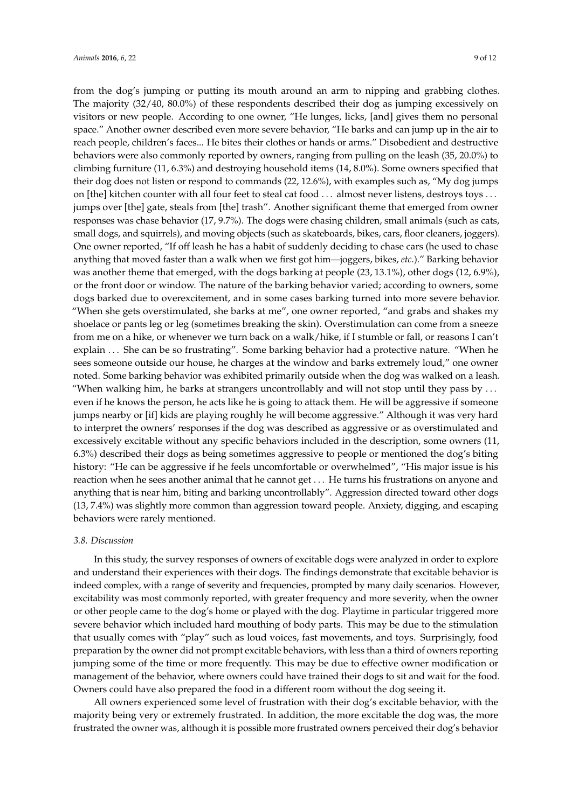from the dog's jumping or putting its mouth around an arm to nipping and grabbing clothes. The majority (32/40, 80.0%) of these respondents described their dog as jumping excessively on visitors or new people. According to one owner, "He lunges, licks, [and] gives them no personal space." Another owner described even more severe behavior, "He barks and can jump up in the air to reach people, children's faces... He bites their clothes or hands or arms." Disobedient and destructive behaviors were also commonly reported by owners, ranging from pulling on the leash (35, 20.0%) to climbing furniture (11, 6.3%) and destroying household items (14, 8.0%). Some owners specified that their dog does not listen or respond to commands (22, 12.6%), with examples such as, "My dog jumps on [the] kitchen counter with all four feet to steal cat food . . . almost never listens, destroys toys . . . jumps over [the] gate, steals from [the] trash". Another significant theme that emerged from owner responses was chase behavior (17, 9.7%). The dogs were chasing children, small animals (such as cats, small dogs, and squirrels), and moving objects (such as skateboards, bikes, cars, floor cleaners, joggers). One owner reported, "If off leash he has a habit of suddenly deciding to chase cars (he used to chase anything that moved faster than a walk when we first got him—joggers, bikes, *etc.*)." Barking behavior was another theme that emerged, with the dogs barking at people (23, 13.1%), other dogs (12, 6.9%), or the front door or window. The nature of the barking behavior varied; according to owners, some dogs barked due to overexcitement, and in some cases barking turned into more severe behavior. "When she gets overstimulated, she barks at me", one owner reported, "and grabs and shakes my shoelace or pants leg or leg (sometimes breaking the skin). Overstimulation can come from a sneeze from me on a hike, or whenever we turn back on a walk/hike, if I stumble or fall, or reasons I can't explain ... She can be so frustrating". Some barking behavior had a protective nature. "When he sees someone outside our house, he charges at the window and barks extremely loud," one owner noted. Some barking behavior was exhibited primarily outside when the dog was walked on a leash. "When walking him, he barks at strangers uncontrollably and will not stop until they pass by . . . even if he knows the person, he acts like he is going to attack them. He will be aggressive if someone jumps nearby or [if] kids are playing roughly he will become aggressive." Although it was very hard to interpret the owners' responses if the dog was described as aggressive or as overstimulated and excessively excitable without any specific behaviors included in the description, some owners (11, 6.3%) described their dogs as being sometimes aggressive to people or mentioned the dog's biting history: "He can be aggressive if he feels uncomfortable or overwhelmed", "His major issue is his reaction when he sees another animal that he cannot get . . . He turns his frustrations on anyone and anything that is near him, biting and barking uncontrollably". Aggression directed toward other dogs (13, 7.4%) was slightly more common than aggression toward people. Anxiety, digging, and escaping behaviors were rarely mentioned.

#### *3.8. Discussion*

In this study, the survey responses of owners of excitable dogs were analyzed in order to explore and understand their experiences with their dogs. The findings demonstrate that excitable behavior is indeed complex, with a range of severity and frequencies, prompted by many daily scenarios. However, excitability was most commonly reported, with greater frequency and more severity, when the owner or other people came to the dog's home or played with the dog. Playtime in particular triggered more severe behavior which included hard mouthing of body parts. This may be due to the stimulation that usually comes with "play" such as loud voices, fast movements, and toys. Surprisingly, food preparation by the owner did not prompt excitable behaviors, with less than a third of owners reporting jumping some of the time or more frequently. This may be due to effective owner modification or management of the behavior, where owners could have trained their dogs to sit and wait for the food. Owners could have also prepared the food in a different room without the dog seeing it.

All owners experienced some level of frustration with their dog's excitable behavior, with the majority being very or extremely frustrated. In addition, the more excitable the dog was, the more frustrated the owner was, although it is possible more frustrated owners perceived their dog's behavior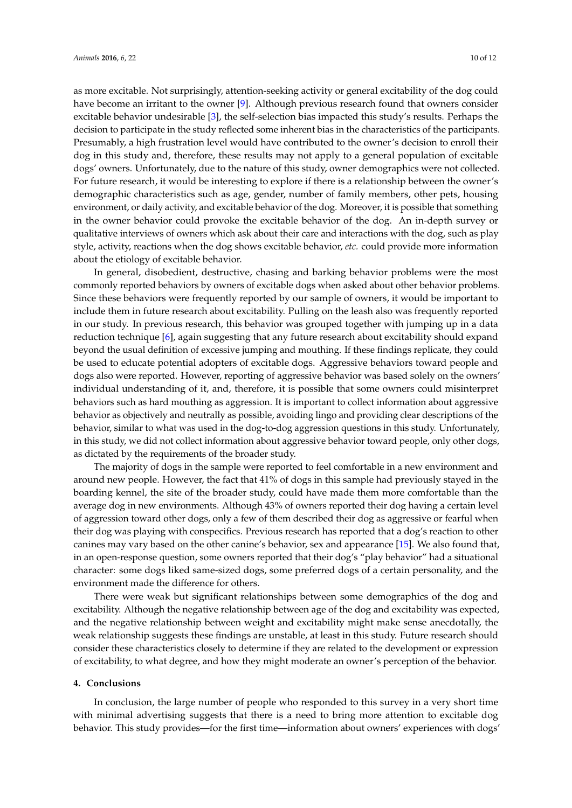as more excitable. Not surprisingly, attention-seeking activity or general excitability of the dog could have become an irritant to the owner [\[9\]](#page-10-9). Although previous research found that owners consider excitable behavior undesirable [\[3\]](#page-10-1), the self-selection bias impacted this study's results. Perhaps the decision to participate in the study reflected some inherent bias in the characteristics of the participants. Presumably, a high frustration level would have contributed to the owner's decision to enroll their dog in this study and, therefore, these results may not apply to a general population of excitable dogs' owners. Unfortunately, due to the nature of this study, owner demographics were not collected. For future research, it would be interesting to explore if there is a relationship between the owner's demographic characteristics such as age, gender, number of family members, other pets, housing environment, or daily activity, and excitable behavior of the dog. Moreover, it is possible that something in the owner behavior could provoke the excitable behavior of the dog. An in-depth survey or qualitative interviews of owners which ask about their care and interactions with the dog, such as play style, activity, reactions when the dog shows excitable behavior, *etc.* could provide more information about the etiology of excitable behavior.

In general, disobedient, destructive, chasing and barking behavior problems were the most commonly reported behaviors by owners of excitable dogs when asked about other behavior problems. Since these behaviors were frequently reported by our sample of owners, it would be important to include them in future research about excitability. Pulling on the leash also was frequently reported in our study. In previous research, this behavior was grouped together with jumping up in a data reduction technique [\[6\]](#page-10-5), again suggesting that any future research about excitability should expand beyond the usual definition of excessive jumping and mouthing. If these findings replicate, they could be used to educate potential adopters of excitable dogs. Aggressive behaviors toward people and dogs also were reported. However, reporting of aggressive behavior was based solely on the owners' individual understanding of it, and, therefore, it is possible that some owners could misinterpret behaviors such as hard mouthing as aggression. It is important to collect information about aggressive behavior as objectively and neutrally as possible, avoiding lingo and providing clear descriptions of the behavior, similar to what was used in the dog-to-dog aggression questions in this study. Unfortunately, in this study, we did not collect information about aggressive behavior toward people, only other dogs, as dictated by the requirements of the broader study.

The majority of dogs in the sample were reported to feel comfortable in a new environment and around new people. However, the fact that 41% of dogs in this sample had previously stayed in the boarding kennel, the site of the broader study, could have made them more comfortable than the average dog in new environments. Although 43% of owners reported their dog having a certain level of aggression toward other dogs, only a few of them described their dog as aggressive or fearful when their dog was playing with conspecifics. Previous research has reported that a dog's reaction to other canines may vary based on the other canine's behavior, sex and appearance [\[15\]](#page-11-4). We also found that, in an open-response question, some owners reported that their dog's "play behavior" had a situational character: some dogs liked same-sized dogs, some preferred dogs of a certain personality, and the environment made the difference for others.

There were weak but significant relationships between some demographics of the dog and excitability. Although the negative relationship between age of the dog and excitability was expected, and the negative relationship between weight and excitability might make sense anecdotally, the weak relationship suggests these findings are unstable, at least in this study. Future research should consider these characteristics closely to determine if they are related to the development or expression of excitability, to what degree, and how they might moderate an owner's perception of the behavior.

#### **4. Conclusions**

In conclusion, the large number of people who responded to this survey in a very short time with minimal advertising suggests that there is a need to bring more attention to excitable dog behavior. This study provides—for the first time—information about owners' experiences with dogs'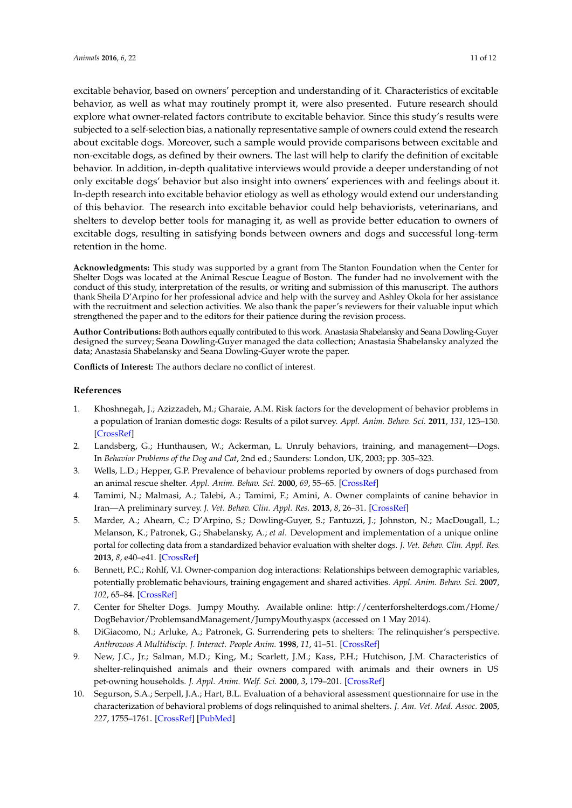excitable behavior, based on owners' perception and understanding of it. Characteristics of excitable behavior, as well as what may routinely prompt it, were also presented. Future research should explore what owner-related factors contribute to excitable behavior. Since this study's results were subjected to a self-selection bias, a nationally representative sample of owners could extend the research about excitable dogs. Moreover, such a sample would provide comparisons between excitable and non-excitable dogs, as defined by their owners. The last will help to clarify the definition of excitable behavior. In addition, in-depth qualitative interviews would provide a deeper understanding of not only excitable dogs' behavior but also insight into owners' experiences with and feelings about it. In-depth research into excitable behavior etiology as well as ethology would extend our understanding of this behavior. The research into excitable behavior could help behaviorists, veterinarians, and shelters to develop better tools for managing it, as well as provide better education to owners of excitable dogs, resulting in satisfying bonds between owners and dogs and successful long-term retention in the home.

**Acknowledgments:** This study was supported by a grant from The Stanton Foundation when the Center for Shelter Dogs was located at the Animal Rescue League of Boston. The funder had no involvement with the conduct of this study, interpretation of the results, or writing and submission of this manuscript. The authors thank Sheila D'Arpino for her professional advice and help with the survey and Ashley Okola for her assistance with the recruitment and selection activities. We also thank the paper's reviewers for their valuable input which strengthened the paper and to the editors for their patience during the revision process.

**Author Contributions:** Both authors equally contributed to this work. Anastasia Shabelansky and Seana Dowling-Guyer designed the survey; Seana Dowling-Guyer managed the data collection; Anastasia Shabelansky analyzed the data; Anastasia Shabelansky and Seana Dowling-Guyer wrote the paper.

**Conflicts of Interest:** The authors declare no conflict of interest.

#### **References**

- <span id="page-10-0"></span>1. Khoshnegah, J.; Azizzadeh, M.; Gharaie, A.M. Risk factors for the development of behavior problems in a population of Iranian domestic dogs: Results of a pilot survey. *Appl. Anim. Behav. Sci.* **2011**, *131*, 123–130. [\[CrossRef\]](http://dx.doi.org/10.1016/j.applanim.2011.02.003)
- <span id="page-10-3"></span>2. Landsberg, G.; Hunthausen, W.; Ackerman, L. Unruly behaviors, training, and management—Dogs. In *Behavior Problems of the Dog and Cat*, 2nd ed.; Saunders: London, UK, 2003; pp. 305–323.
- <span id="page-10-1"></span>3. Wells, L.D.; Hepper, G.P. Prevalence of behaviour problems reported by owners of dogs purchased from an animal rescue shelter. *Appl. Anim. Behav. Sci.* **2000**, *69*, 55–65. [\[CrossRef\]](http://dx.doi.org/10.1016/S0168-1591(00)00118-0)
- <span id="page-10-2"></span>4. Tamimi, N.; Malmasi, A.; Talebi, A.; Tamimi, F.; Amini, A. Owner complaints of canine behavior in Iran—A preliminary survey. *J. Vet. Behav. Clin. Appl. Res.* **2013**, *8*, 26–31. [\[CrossRef\]](http://dx.doi.org/10.1016/j.jveb.2012.05.007)
- <span id="page-10-4"></span>5. Marder, A.; Ahearn, C.; D'Arpino, S.; Dowling-Guyer, S.; Fantuzzi, J.; Johnston, N.; MacDougall, L.; Melanson, K.; Patronek, G.; Shabelansky, A.; *et al*. Development and implementation of a unique online portal for collecting data from a standardized behavior evaluation with shelter dogs. *J. Vet. Behav. Clin. Appl. Res.* **2013**, *8*, e40–e41. [\[CrossRef\]](http://dx.doi.org/10.1016/j.jveb.2013.04.047)
- <span id="page-10-5"></span>6. Bennett, P.C.; Rohlf, V.I. Owner-companion dog interactions: Relationships between demographic variables, potentially problematic behaviours, training engagement and shared activities. *Appl. Anim. Behav. Sci.* **2007**, *102*, 65–84. [\[CrossRef\]](http://dx.doi.org/10.1016/j.applanim.2006.03.009)
- <span id="page-10-6"></span>7. Center for Shelter Dogs. Jumpy Mouthy. Available online: http://centerforshelterdogs.com/Home/ DogBehavior/ProblemsandManagement/JumpyMouthy.aspx (accessed on 1 May 2014).
- <span id="page-10-7"></span>8. DiGiacomo, N.; Arluke, A.; Patronek, G. Surrendering pets to shelters: The relinquisher's perspective. *Anthrozoos A Multidiscip. J. Interact. People Anim.* **1998**, *11*, 41–51. [\[CrossRef\]](http://dx.doi.org/10.2752/089279398787000878)
- <span id="page-10-9"></span>9. New, J.C., Jr.; Salman, M.D.; King, M.; Scarlett, J.M.; Kass, P.H.; Hutchison, J.M. Characteristics of shelter-relinquished animals and their owners compared with animals and their owners in US pet-owning households. *J. Appl. Anim. Welf. Sci.* **2000**, *3*, 179–201. [\[CrossRef\]](http://dx.doi.org/10.1207/S15327604JAWS0303_1)
- <span id="page-10-8"></span>10. Segurson, S.A.; Serpell, J.A.; Hart, B.L. Evaluation of a behavioral assessment questionnaire for use in the characterization of behavioral problems of dogs relinquished to animal shelters. *J. Am. Vet. Med. Assoc.* **2005**, *227*, 1755–1761. [\[CrossRef\]](http://dx.doi.org/10.2460/javma.2005.227.1755) [\[PubMed\]](http://www.ncbi.nlm.nih.gov/pubmed/16342523)